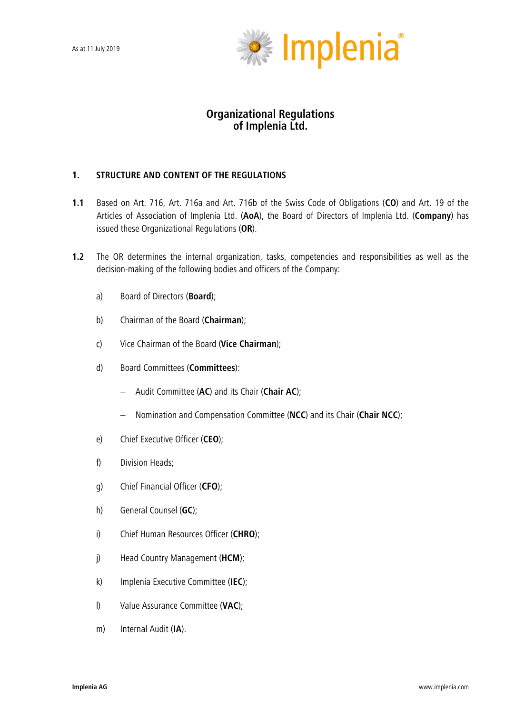

# **Organizational Regulations of Implenia Ltd.**

# **1. STRUCTURE AND CONTENT OF THE REGULATIONS**

- **1.1** Based on Art. 716, Art. 716a and Art. 716b of the Swiss Code of Obligations (**CO**) and Art. 19 of the Articles of Association of Implenia Ltd. (**AoA**), the Board of Directors of Implenia Ltd. (**Company**) has issued these Organizational Regulations (**OR**).
- **1.2** The OR determines the internal organization, tasks, competencies and responsibilities as well as the decision-making of the following bodies and officers of the Company:
	- a) Board of Directors (**Board**);
	- b) Chairman of the Board (**Chairman**);
	- c) Vice Chairman of the Board (**Vice Chairman**);
	- d) Board Committees (**Committees**):
		- Audit Committee (**AC**) and its Chair (**Chair AC**);
		- Nomination and Compensation Committee (**NCC**) and its Chair (**Chair NCC**);
	- e) Chief Executive Officer (**CEO**);
	- f) Division Heads;
	- g) Chief Financial Officer (**CFO**);
	- h) General Counsel (**GC**);
	- i) Chief Human Resources Officer (**CHRO**);
	- j) Head Country Management (**HCM**);
	- k) Implenia Executive Committee (**IEC**);
	- l) Value Assurance Committee (**VAC**);
	- m) Internal Audit (**IA**).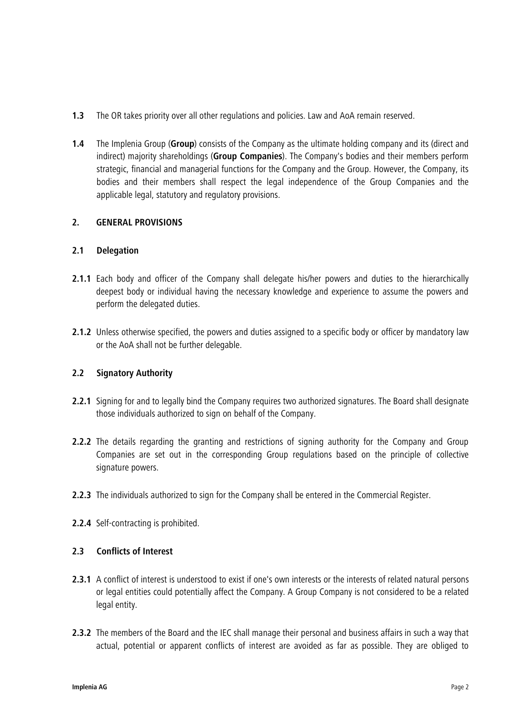- **1.3** The OR takes priority over all other regulations and policies. Law and AoA remain reserved.
- **1.4** The Implenia Group (**Group**) consists of the Company as the ultimate holding company and its (direct and indirect) majority shareholdings (**Group Companies**). The Company's bodies and their members perform strategic, financial and managerial functions for the Company and the Group. However, the Company, its bodies and their members shall respect the legal independence of the Group Companies and the applicable legal, statutory and regulatory provisions.

# **2. GENERAL PROVISIONS**

# **2.1 Delegation**

- **2.1.1** Each body and officer of the Company shall delegate his/her powers and duties to the hierarchically deepest body or individual having the necessary knowledge and experience to assume the powers and perform the delegated duties.
- **2.1.2** Unless otherwise specified, the powers and duties assigned to a specific body or officer by mandatory law or the AoA shall not be further delegable.

# **2.2 Signatory Authority**

- **2.2.1** Signing for and to legally bind the Company requires two authorized signatures. The Board shall designate those individuals authorized to sign on behalf of the Company.
- **2.2.2** The details regarding the granting and restrictions of signing authority for the Company and Group Companies are set out in the corresponding Group regulations based on the principle of collective signature powers.
- **2.2.3** The individuals authorized to sign for the Company shall be entered in the Commercial Register.
- **2.2.4** Self-contracting is prohibited.

# **2.3 Conflicts of Interest**

- **2.3.1** A conflict of interest is understood to exist if one's own interests or the interests of related natural persons or legal entities could potentially affect the Company. A Group Company is not considered to be a related legal entity.
- **2.3.2** The members of the Board and the IEC shall manage their personal and business affairs in such a way that actual, potential or apparent conflicts of interest are avoided as far as possible. They are obliged to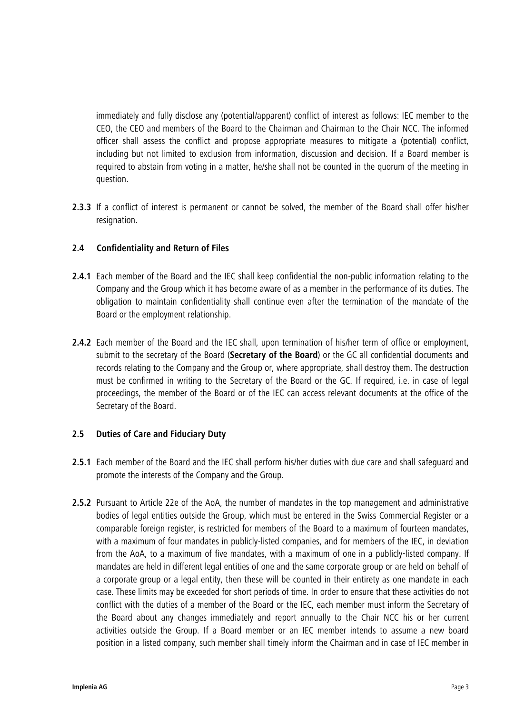immediately and fully disclose any (potential/apparent) conflict of interest as follows: IEC member to the CEO, the CEO and members of the Board to the Chairman and Chairman to the Chair NCC. The informed officer shall assess the conflict and propose appropriate measures to mitigate a (potential) conflict, including but not limited to exclusion from information, discussion and decision. If a Board member is required to abstain from voting in a matter, he/she shall not be counted in the quorum of the meeting in question.

**2.3.3** If a conflict of interest is permanent or cannot be solved, the member of the Board shall offer his/her resignation.

# **2.4 Confidentiality and Return of Files**

- **2.4.1** Each member of the Board and the IEC shall keep confidential the non-public information relating to the Company and the Group which it has become aware of as a member in the performance of its duties. The obligation to maintain confidentiality shall continue even after the termination of the mandate of the Board or the employment relationship.
- **2.4.2** Each member of the Board and the IEC shall, upon termination of his/her term of office or employment, submit to the secretary of the Board (**Secretary of the Board**) or the GC all confidential documents and records relating to the Company and the Group or, where appropriate, shall destroy them. The destruction must be confirmed in writing to the Secretary of the Board or the GC. If required, i.e. in case of legal proceedings, the member of the Board or of the IEC can access relevant documents at the office of the Secretary of the Board.

# **2.5 Duties of Care and Fiduciary Duty**

- **2.5.1** Each member of the Board and the IEC shall perform his/her duties with due care and shall safeguard and promote the interests of the Company and the Group.
- **2.5.2** Pursuant to Article 22e of the AoA, the number of mandates in the top management and administrative bodies of legal entities outside the Group, which must be entered in the Swiss Commercial Register or a comparable foreign register, is restricted for members of the Board to a maximum of fourteen mandates, with a maximum of four mandates in publicly-listed companies, and for members of the IEC, in deviation from the AoA, to a maximum of five mandates, with a maximum of one in a publicly-listed company. If mandates are held in different legal entities of one and the same corporate group or are held on behalf of a corporate group or a legal entity, then these will be counted in their entirety as one mandate in each case. These limits may be exceeded for short periods of time. In order to ensure that these activities do not conflict with the duties of a member of the Board or the IEC, each member must inform the Secretary of the Board about any changes immediately and report annually to the Chair NCC his or her current activities outside the Group. If a Board member or an IEC member intends to assume a new board position in a listed company, such member shall timely inform the Chairman and in case of IEC member in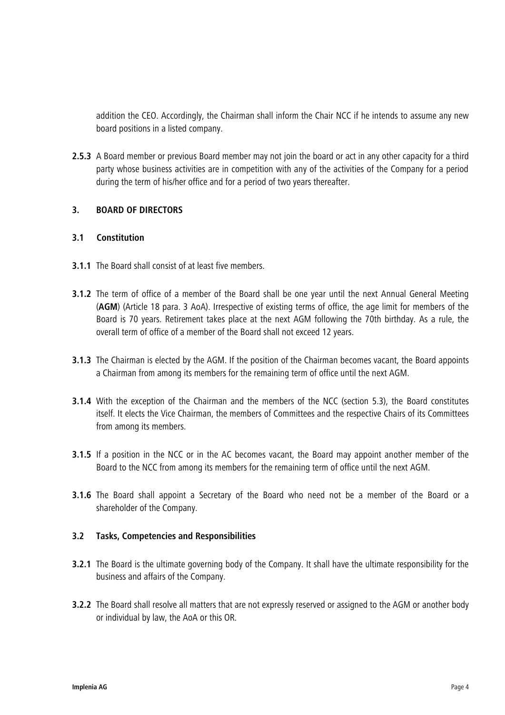addition the CEO. Accordingly, the Chairman shall inform the Chair NCC if he intends to assume any new board positions in a listed company.

**2.5.3** A Board member or previous Board member may not join the board or act in any other capacity for a third party whose business activities are in competition with any of the activities of the Company for a period during the term of his/her office and for a period of two years thereafter.

# **3. BOARD OF DIRECTORS**

# **3.1 Constitution**

- **3.1.1** The Board shall consist of at least five members.
- **3.1.2** The term of office of a member of the Board shall be one year until the next Annual General Meeting (**AGM**) (Article 18 para. 3 AoA). Irrespective of existing terms of office, the age limit for members of the Board is 70 years. Retirement takes place at the next AGM following the 70th birthday. As a rule, the overall term of office of a member of the Board shall not exceed 12 years.
- **3.1.3** The Chairman is elected by the AGM. If the position of the Chairman becomes vacant, the Board appoints a Chairman from among its members for the remaining term of office until the next AGM.
- **3.1.4** With the exception of the Chairman and the members of the NCC (section 5.3), the Board constitutes itself. It elects the Vice Chairman, the members of Committees and the respective Chairs of its Committees from among its members.
- **3.1.5** If a position in the NCC or in the AC becomes vacant, the Board may appoint another member of the Board to the NCC from among its members for the remaining term of office until the next AGM.
- **3.1.6** The Board shall appoint a Secretary of the Board who need not be a member of the Board or a shareholder of the Company.

# **3.2 Tasks, Competencies and Responsibilities**

- **3.2.1** The Board is the ultimate governing body of the Company. It shall have the ultimate responsibility for the business and affairs of the Company.
- **3.2.2** The Board shall resolve all matters that are not expressly reserved or assigned to the AGM or another body or individual by law, the AoA or this OR.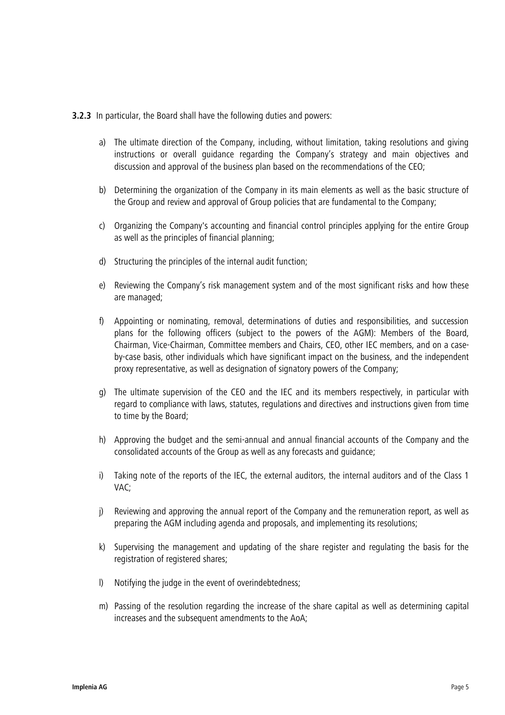**3.2.3** In particular, the Board shall have the following duties and powers:

- a) The ultimate direction of the Company, including, without limitation, taking resolutions and giving instructions or overall guidance regarding the Company's strategy and main objectives and discussion and approval of the business plan based on the recommendations of the CEO;
- b) Determining the organization of the Company in its main elements as well as the basic structure of the Group and review and approval of Group policies that are fundamental to the Company;
- c) Organizing the Company's accounting and financial control principles applying for the entire Group as well as the principles of financial planning;
- d) Structuring the principles of the internal audit function;
- e) Reviewing the Company's risk management system and of the most significant risks and how these are managed;
- f) Appointing or nominating, removal, determinations of duties and responsibilities, and succession plans for the following officers (subject to the powers of the AGM): Members of the Board, Chairman, Vice-Chairman, Committee members and Chairs, CEO, other IEC members, and on a caseby-case basis, other individuals which have significant impact on the business, and the independent proxy representative, as well as designation of signatory powers of the Company;
- g) The ultimate supervision of the CEO and the IEC and its members respectively, in particular with regard to compliance with laws, statutes, regulations and directives and instructions given from time to time by the Board;
- h) Approving the budget and the semi-annual and annual financial accounts of the Company and the consolidated accounts of the Group as well as any forecasts and guidance;
- i) Taking note of the reports of the IEC, the external auditors, the internal auditors and of the Class 1 VAC;
- j) Reviewing and approving the annual report of the Company and the remuneration report, as well as preparing the AGM including agenda and proposals, and implementing its resolutions;
- k) Supervising the management and updating of the share register and regulating the basis for the registration of registered shares;
- l) Notifying the judge in the event of overindebtedness;
- m) Passing of the resolution regarding the increase of the share capital as well as determining capital increases and the subsequent amendments to the AoA;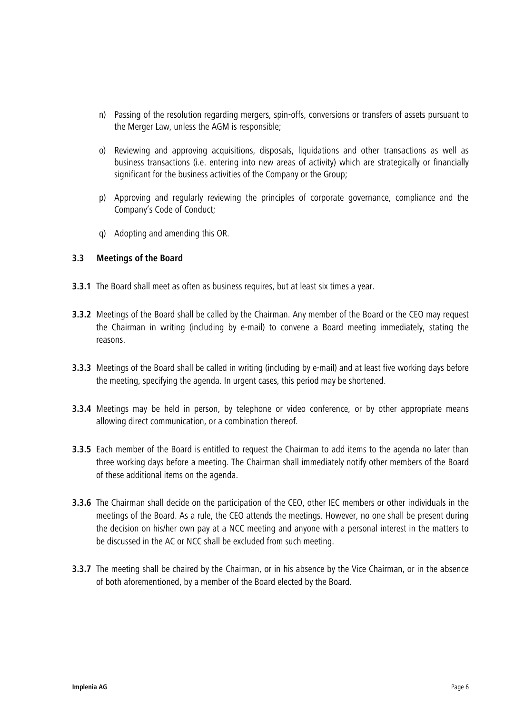- n) Passing of the resolution regarding mergers, spin-offs, conversions or transfers of assets pursuant to the Merger Law, unless the AGM is responsible;
- o) Reviewing and approving acquisitions, disposals, liquidations and other transactions as well as business transactions (i.e. entering into new areas of activity) which are strategically or financially significant for the business activities of the Company or the Group;
- p) Approving and regularly reviewing the principles of corporate governance, compliance and the Company's Code of Conduct;
- q) Adopting and amending this OR.

# <span id="page-5-0"></span>**3.3 Meetings of the Board**

- **3.3.1** The Board shall meet as often as business requires, but at least six times a year.
- **3.3.2** Meetings of the Board shall be called by the Chairman. Any member of the Board or the CEO may request the Chairman in writing (including by e-mail) to convene a Board meeting immediately, stating the reasons.
- **3.3.3** Meetings of the Board shall be called in writing (including by e-mail) and at least five working days before the meeting, specifying the agenda. In urgent cases, this period may be shortened.
- **3.3.4** Meetings may be held in person, by telephone or video conference, or by other appropriate means allowing direct communication, or a combination thereof.
- **3.3.5** Each member of the Board is entitled to request the Chairman to add items to the agenda no later than three working days before a meeting. The Chairman shall immediately notify other members of the Board of these additional items on the agenda.
- **3.3.6** The Chairman shall decide on the participation of the CEO, other IEC members or other individuals in the meetings of the Board. As a rule, the CEO attends the meetings. However, no one shall be present during the decision on his/her own pay at a NCC meeting and anyone with a personal interest in the matters to be discussed in the AC or NCC shall be excluded from such meeting.
- **3.3.7** The meeting shall be chaired by the Chairman, or in his absence by the Vice Chairman, or in the absence of both aforementioned, by a member of the Board elected by the Board.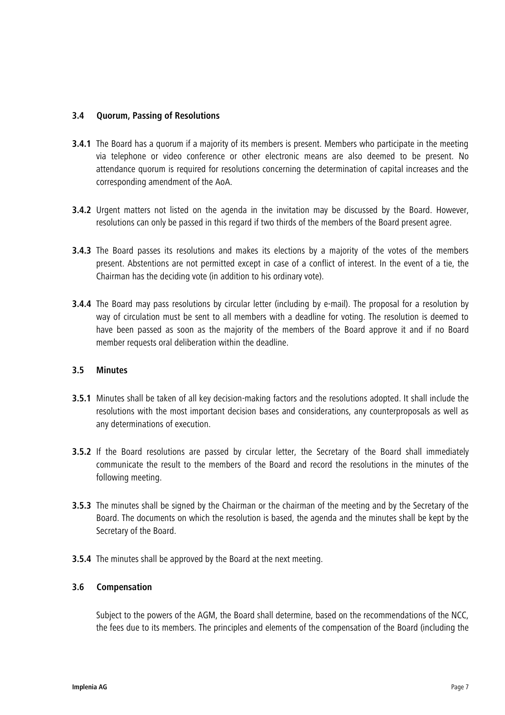# **3.4 Quorum, Passing of Resolutions**

- **3.4.1** The Board has a quorum if a majority of its members is present. Members who participate in the meeting via telephone or video conference or other electronic means are also deemed to be present. No attendance quorum is required for resolutions concerning the determination of capital increases and the corresponding amendment of the AoA.
- **3.4.2** Urgent matters not listed on the agenda in the invitation may be discussed by the Board. However, resolutions can only be passed in this regard if two thirds of the members of the Board present agree.
- **3.4.3** The Board passes its resolutions and makes its elections by a majority of the votes of the members present. Abstentions are not permitted except in case of a conflict of interest. In the event of a tie, the Chairman has the deciding vote (in addition to his ordinary vote).
- **3.4.4** The Board may pass resolutions by circular letter (including by e-mail). The proposal for a resolution by way of circulation must be sent to all members with a deadline for voting. The resolution is deemed to have been passed as soon as the majority of the members of the Board approve it and if no Board member requests oral deliberation within the deadline.

# <span id="page-6-0"></span>**3.5 Minutes**

- **3.5.1** Minutes shall be taken of all key decision-making factors and the resolutions adopted. It shall include the resolutions with the most important decision bases and considerations, any counterproposals as well as any determinations of execution.
- **3.5.2** If the Board resolutions are passed by circular letter, the Secretary of the Board shall immediately communicate the result to the members of the Board and record the resolutions in the minutes of the following meeting.
- **3.5.3** The minutes shall be signed by the Chairman or the chairman of the meeting and by the Secretary of the Board. The documents on which the resolution is based, the agenda and the minutes shall be kept by the Secretary of the Board.
- **3.5.4** The minutes shall be approved by the Board at the next meeting.

# **3.6 Compensation**

Subject to the powers of the AGM, the Board shall determine, based on the recommendations of the NCC, the fees due to its members. The principles and elements of the compensation of the Board (including the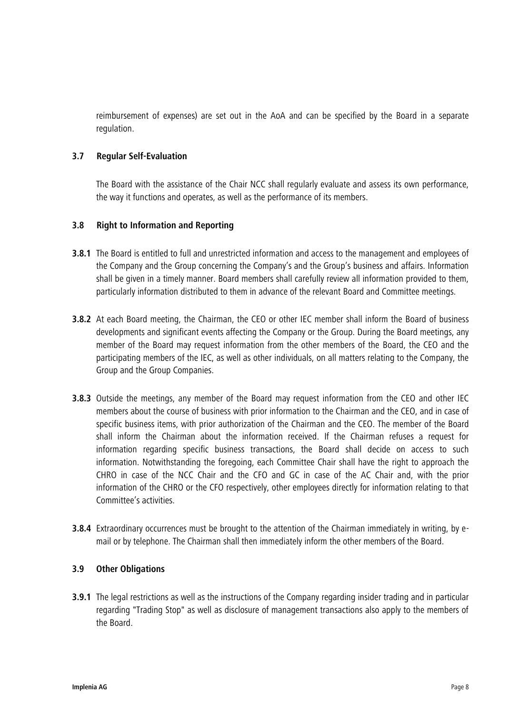reimbursement of expenses) are set out in the AoA and can be specified by the Board in a separate regulation.

# **3.7 Regular Self-Evaluation**

The Board with the assistance of the Chair NCC shall regularly evaluate and assess its own performance, the way it functions and operates, as well as the performance of its members.

# **3.8 Right to Information and Reporting**

- **3.8.1** The Board is entitled to full and unrestricted information and access to the management and employees of the Company and the Group concerning the Company's and the Group's business and affairs. Information shall be given in a timely manner. Board members shall carefully review all information provided to them, particularly information distributed to them in advance of the relevant Board and Committee meetings.
- **3.8.2** At each Board meeting, the Chairman, the CEO or other IEC member shall inform the Board of business developments and significant events affecting the Company or the Group. During the Board meetings, any member of the Board may request information from the other members of the Board, the CEO and the participating members of the IEC, as well as other individuals, on all matters relating to the Company, the Group and the Group Companies.
- **3.8.3** Outside the meetings, any member of the Board may request information from the CEO and other IEC members about the course of business with prior information to the Chairman and the CEO, and in case of specific business items, with prior authorization of the Chairman and the CEO. The member of the Board shall inform the Chairman about the information received. If the Chairman refuses a request for information regarding specific business transactions, the Board shall decide on access to such information. Notwithstanding the foregoing, each Committee Chair shall have the right to approach the CHRO in case of the NCC Chair and the CFO and GC in case of the AC Chair and, with the prior information of the CHRO or the CFO respectively, other employees directly for information relating to that Committee's activities.
- **3.8.4** Extraordinary occurrences must be brought to the attention of the Chairman immediately in writing, by email or by telephone. The Chairman shall then immediately inform the other members of the Board.

# **3.9 Other Obligations**

**3.9.1** The legal restrictions as well as the instructions of the Company regarding insider trading and in particular regarding "Trading Stop" as well as disclosure of management transactions also apply to the members of the Board.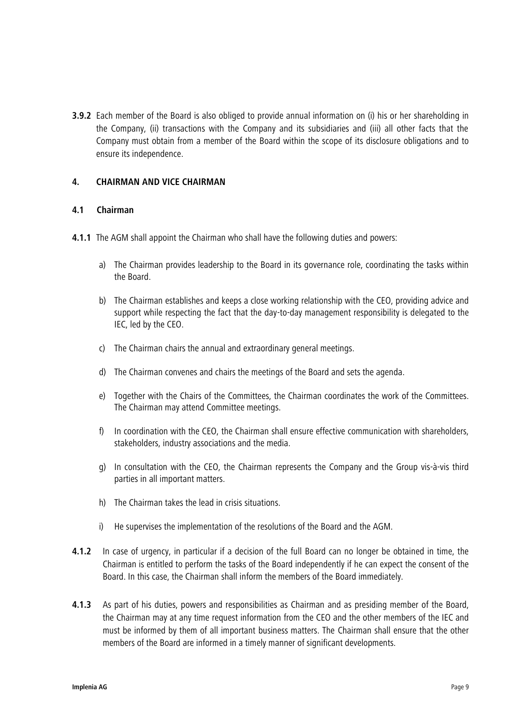**3.9.2** Each member of the Board is also obliged to provide annual information on (i) his or her shareholding in the Company, (ii) transactions with the Company and its subsidiaries and (iii) all other facts that the Company must obtain from a member of the Board within the scope of its disclosure obligations and to ensure its independence.

#### **4. CHAIRMAN AND VICE CHAIRMAN**

#### **4.1 Chairman**

- **4.1.1** The AGM shall appoint the Chairman who shall have the following duties and powers:
	- a) The Chairman provides leadership to the Board in its governance role, coordinating the tasks within the Board.
	- b) The Chairman establishes and keeps a close working relationship with the CEO, providing advice and support while respecting the fact that the day-to-day management responsibility is delegated to the IEC, led by the CEO.
	- c) The Chairman chairs the annual and extraordinary general meetings.
	- d) The Chairman convenes and chairs the meetings of the Board and sets the agenda.
	- e) Together with the Chairs of the Committees, the Chairman coordinates the work of the Committees. The Chairman may attend Committee meetings.
	- f) In coordination with the CEO, the Chairman shall ensure effective communication with shareholders, stakeholders, industry associations and the media.
	- g) In consultation with the CEO, the Chairman represents the Company and the Group vis-à-vis third parties in all important matters.
	- h) The Chairman takes the lead in crisis situations.
	- i) He supervises the implementation of the resolutions of the Board and the AGM.
- **4.1.2** In case of urgency, in particular if a decision of the full Board can no longer be obtained in time, the Chairman is entitled to perform the tasks of the Board independently if he can expect the consent of the Board. In this case, the Chairman shall inform the members of the Board immediately.
- **4.1.3** As part of his duties, powers and responsibilities as Chairman and as presiding member of the Board, the Chairman may at any time request information from the CEO and the other members of the IEC and must be informed by them of all important business matters. The Chairman shall ensure that the other members of the Board are informed in a timely manner of significant developments.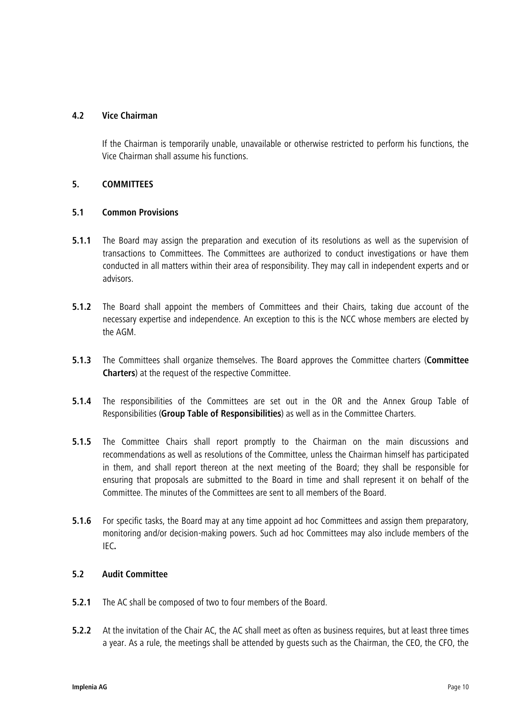# **4.2 Vice Chairman**

If the Chairman is temporarily unable, unavailable or otherwise restricted to perform his functions, the Vice Chairman shall assume his functions.

# **5. COMMITTEES**

# **5.1 Common Provisions**

- **5.1.1** The Board may assign the preparation and execution of its resolutions as well as the supervision of transactions to Committees. The Committees are authorized to conduct investigations or have them conducted in all matters within their area of responsibility. They may call in independent experts and or advisors.
- **5.1.2** The Board shall appoint the members of Committees and their Chairs, taking due account of the necessary expertise and independence. An exception to this is the NCC whose members are elected by the AGM.
- **5.1.3** The Committees shall organize themselves. The Board approves the Committee charters (**Committee Charters**) at the request of the respective Committee.
- **5.1.4** The responsibilities of the Committees are set out in the OR and the Annex Group Table of Responsibilities (**Group Table of Responsibilities**) as well as in the Committee Charters.
- **5.1.5** The Committee Chairs shall report promptly to the Chairman on the main discussions and recommendations as well as resolutions of the Committee, unless the Chairman himself has participated in them, and shall report thereon at the next meeting of the Board; they shall be responsible for ensuring that proposals are submitted to the Board in time and shall represent it on behalf of the Committee. The minutes of the Committees are sent to all members of the Board.
- **5.1.6** For specific tasks, the Board may at any time appoint ad hoc Committees and assign them preparatory, monitoring and/or decision-making powers. Such ad hoc Committees may also include members of the IEC**.**

# **5.2 Audit Committee**

- **5.2.1** The AC shall be composed of two to four members of the Board.
- **5.2.2** At the invitation of the Chair AC, the AC shall meet as often as business requires, but at least three times a year. As a rule, the meetings shall be attended by guests such as the Chairman, the CEO, the CFO, the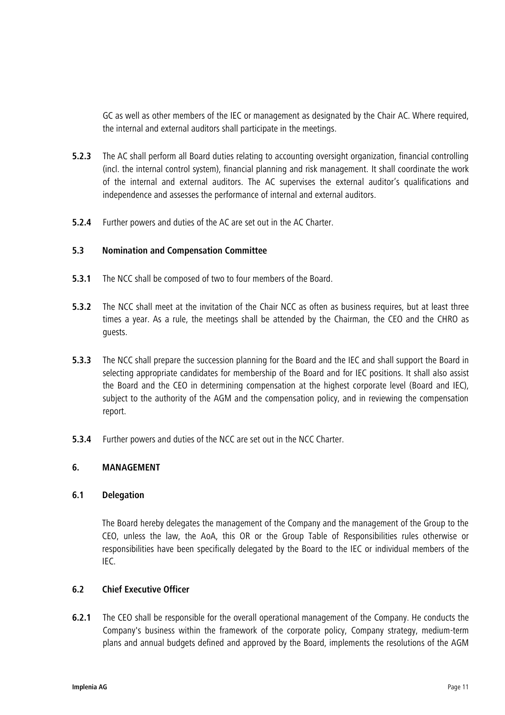GC as well as other members of the IEC or management as designated by the Chair AC. Where required, the internal and external auditors shall participate in the meetings.

- **5.2.3** The AC shall perform all Board duties relating to accounting oversight organization, financial controlling (incl. the internal control system), financial planning and risk management. It shall coordinate the work of the internal and external auditors. The AC supervises the external auditor's qualifications and independence and assesses the performance of internal and external auditors.
- **5.2.4** Further powers and duties of the AC are set out in the AC Charter.

# **5.3 Nomination and Compensation Committee**

- **5.3.1** The NCC shall be composed of two to four members of the Board.
- **5.3.2** The NCC shall meet at the invitation of the Chair NCC as often as business requires, but at least three times a year. As a rule, the meetings shall be attended by the Chairman, the CEO and the CHRO as guests.
- **5.3.3** The NCC shall prepare the succession planning for the Board and the IEC and shall support the Board in selecting appropriate candidates for membership of the Board and for IEC positions. It shall also assist the Board and the CEO in determining compensation at the highest corporate level (Board and IEC), subject to the authority of the AGM and the compensation policy, and in reviewing the compensation report.
- **5.3.4** Further powers and duties of the NCC are set out in the NCC Charter.

# **6. MANAGEMENT**

# **6.1 Delegation**

The Board hereby delegates the management of the Company and the management of the Group to the CEO, unless the law, the AoA, this OR or the Group Table of Responsibilities rules otherwise or responsibilities have been specifically delegated by the Board to the IEC or individual members of the IEC.

# **6.2 Chief Executive Officer**

**6.2.1** The CEO shall be responsible for the overall operational management of the Company. He conducts the Company's business within the framework of the corporate policy, Company strategy, medium-term plans and annual budgets defined and approved by the Board, implements the resolutions of the AGM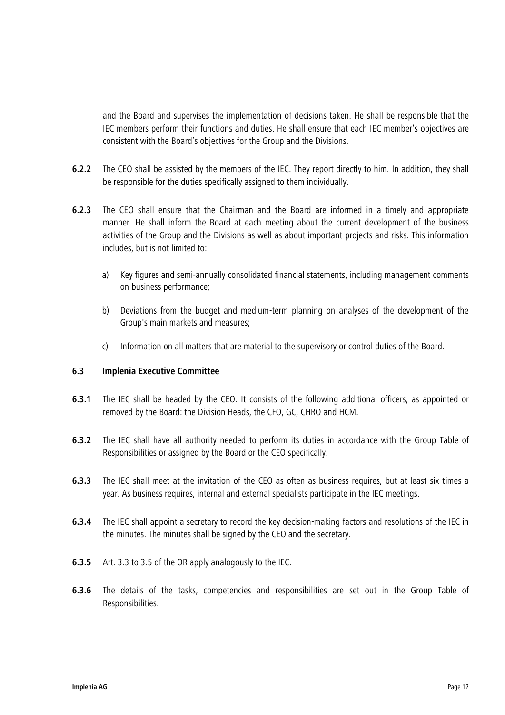and the Board and supervises the implementation of decisions taken. He shall be responsible that the IEC members perform their functions and duties. He shall ensure that each IEC member's objectives are consistent with the Board's objectives for the Group and the Divisions.

- **6.2.2** The CEO shall be assisted by the members of the IEC. They report directly to him. In addition, they shall be responsible for the duties specifically assigned to them individually.
- **6.2.3** The CEO shall ensure that the Chairman and the Board are informed in a timely and appropriate manner. He shall inform the Board at each meeting about the current development of the business activities of the Group and the Divisions as well as about important projects and risks. This information includes, but is not limited to:
	- a) Key figures and semi-annually consolidated financial statements, including management comments on business performance;
	- b) Deviations from the budget and medium-term planning on analyses of the development of the Group's main markets and measures;
	- c) Information on all matters that are material to the supervisory or control duties of the Board.

# **6.3 Implenia Executive Committee**

- **6.3.1** The IEC shall be headed by the CEO. It consists of the following additional officers, as appointed or removed by the Board: the Division Heads, the CFO, GC, CHRO and HCM.
- **6.3.2** The IEC shall have all authority needed to perform its duties in accordance with the Group Table of Responsibilities or assigned by the Board or the CEO specifically.
- **6.3.3** The IEC shall meet at the invitation of the CEO as often as business requires, but at least six times a year. As business requires, internal and external specialists participate in the IEC meetings.
- **6.3.4** The IEC shall appoint a secretary to record the key decision-making factors and resolutions of the IEC in the minutes. The minutes shall be signed by the CEO and the secretary.
- **6.3.5** Art. [3.3](#page-5-0) to [3.5](#page-6-0) of the OR apply analogously to the IEC.
- **6.3.6** The details of the tasks, competencies and responsibilities are set out in the Group Table of Responsibilities.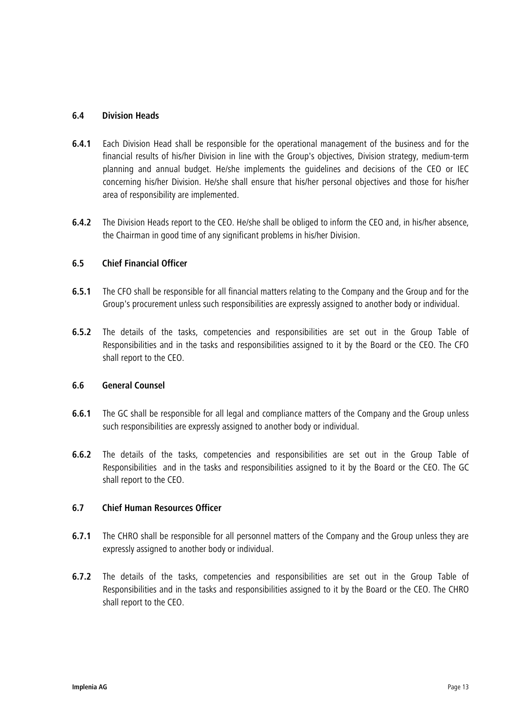# **6.4 Division Heads**

- **6.4.1** Each Division Head shall be responsible for the operational management of the business and for the financial results of his/her Division in line with the Group's objectives, Division strategy, medium-term planning and annual budget. He/she implements the guidelines and decisions of the CEO or IEC concerning his/her Division. He/she shall ensure that his/her personal objectives and those for his/her area of responsibility are implemented.
- **6.4.2** The Division Heads report to the CEO. He/she shall be obliged to inform the CEO and, in his/her absence, the Chairman in good time of any significant problems in his/her Division.

# **6.5 Chief Financial Officer**

- **6.5.1** The CFO shall be responsible for all financial matters relating to the Company and the Group and for the Group's procurement unless such responsibilities are expressly assigned to another body or individual.
- **6.5.2** The details of the tasks, competencies and responsibilities are set out in the Group Table of Responsibilities and in the tasks and responsibilities assigned to it by the Board or the CEO. The CFO shall report to the CEO.

# **6.6 General Counsel**

- **6.6.1** The GC shall be responsible for all legal and compliance matters of the Company and the Group unless such responsibilities are expressly assigned to another body or individual.
- **6.6.2** The details of the tasks, competencies and responsibilities are set out in the Group Table of Responsibilities and in the tasks and responsibilities assigned to it by the Board or the CEO. The GC shall report to the CEO.

# **6.7 Chief Human Resources Officer**

- **6.7.1** The CHRO shall be responsible for all personnel matters of the Company and the Group unless they are expressly assigned to another body or individual.
- **6.7.2** The details of the tasks, competencies and responsibilities are set out in the Group Table of Responsibilities and in the tasks and responsibilities assigned to it by the Board or the CEO. The CHRO shall report to the CEO.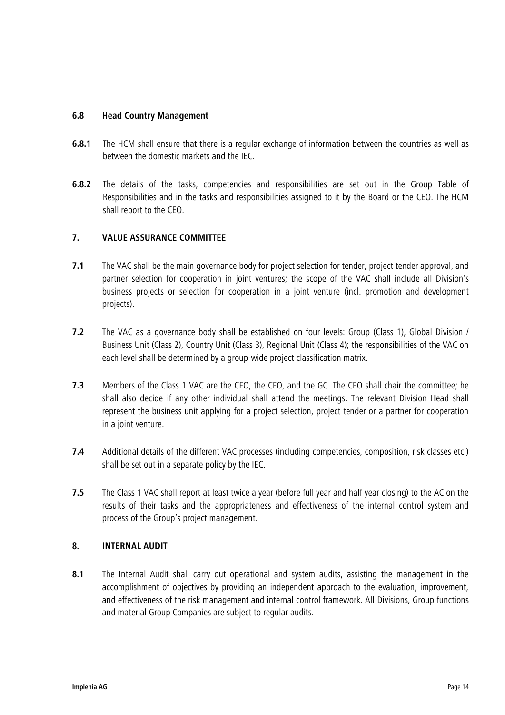# **6.8 Head Country Management**

- **6.8.1** The HCM shall ensure that there is a regular exchange of information between the countries as well as between the domestic markets and the IEC.
- **6.8.2** The details of the tasks, competencies and responsibilities are set out in the Group Table of Responsibilities and in the tasks and responsibilities assigned to it by the Board or the CEO. The HCM shall report to the CEO.

# **7. VALUE ASSURANCE COMMITTEE**

- **7.1** The VAC shall be the main governance body for project selection for tender, project tender approval, and partner selection for cooperation in joint ventures; the scope of the VAC shall include all Division's business projects or selection for cooperation in a joint venture (incl. promotion and development projects).
- **7.2** The VAC as a governance body shall be established on four levels: Group (Class 1), Global Division / Business Unit (Class 2), Country Unit (Class 3), Regional Unit (Class 4); the responsibilities of the VAC on each level shall be determined by a group-wide project classification matrix.
- **7.3** Members of the Class 1 VAC are the CEO, the CFO, and the GC. The CEO shall chair the committee; he shall also decide if any other individual shall attend the meetings. The relevant Division Head shall represent the business unit applying for a project selection, project tender or a partner for cooperation in a joint venture.
- **7.4** Additional details of the different VAC processes (including competencies, composition, risk classes etc.) shall be set out in a separate policy by the IEC.
- **7.5** The Class 1 VAC shall report at least twice a year (before full year and half year closing) to the AC on the results of their tasks and the appropriateness and effectiveness of the internal control system and process of the Group's project management.

# **8. INTERNAL AUDIT**

**8.1** The Internal Audit shall carry out operational and system audits, assisting the management in the accomplishment of objectives by providing an independent approach to the evaluation, improvement, and effectiveness of the risk management and internal control framework. All Divisions, Group functions and material Group Companies are subject to regular audits.